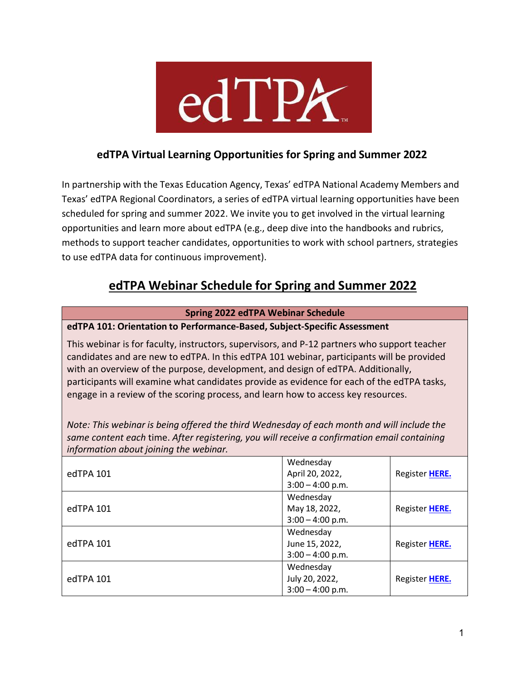

### **edTPA Virtual Learning Opportunities for Spring and Summer 2022**

In partnership with the Texas Education Agency, Texas' edTPA National Academy Members and Texas' edTPA Regional Coordinators, a series of edTPA virtual learning opportunities have been scheduled for spring and summer 2022. We invite you to get involved in the virtual learning opportunities and learn more about edTPA (e.g., deep dive into the handbooks and rubrics, methods to support teacher candidates, opportunities to work with school partners, strategies to use edTPA data for continuous improvement).

## **edTPA Webinar Schedule for Spring and Summer 2022**

| <b>Spring 2022 edTPA Webinar Schedule</b>                                                                                                                                                                                                                                                                                                                                                                                                                        |                                                    |                |
|------------------------------------------------------------------------------------------------------------------------------------------------------------------------------------------------------------------------------------------------------------------------------------------------------------------------------------------------------------------------------------------------------------------------------------------------------------------|----------------------------------------------------|----------------|
| edTPA 101: Orientation to Performance-Based, Subject-Specific Assessment                                                                                                                                                                                                                                                                                                                                                                                         |                                                    |                |
| This webinar is for faculty, instructors, supervisors, and P-12 partners who support teacher<br>candidates and are new to edTPA. In this edTPA 101 webinar, participants will be provided<br>with an overview of the purpose, development, and design of edTPA. Additionally,<br>participants will examine what candidates provide as evidence for each of the edTPA tasks,<br>engage in a review of the scoring process, and learn how to access key resources. |                                                    |                |
| Note: This webinar is being offered the third Wednesday of each month and will include the<br>same content each time. After registering, you will receive a confirmation email containing<br>information about joining the webinar.                                                                                                                                                                                                                              |                                                    |                |
| edTPA 101                                                                                                                                                                                                                                                                                                                                                                                                                                                        | Wednesday<br>April 20, 2022,<br>$3:00 - 4:00$ p.m. | Register HERE. |
| edTPA 101                                                                                                                                                                                                                                                                                                                                                                                                                                                        | Wednesday<br>May 18, 2022,<br>$3:00 - 4:00$ p.m.   | Register HERE. |
| edTPA 101                                                                                                                                                                                                                                                                                                                                                                                                                                                        | Wednesday<br>June 15, 2022,<br>$3:00 - 4:00$ p.m.  | Register HERE. |
| edTPA 101                                                                                                                                                                                                                                                                                                                                                                                                                                                        | Wednesday<br>July 20, 2022,<br>$3:00 - 4:00$ p.m.  | Register HERE. |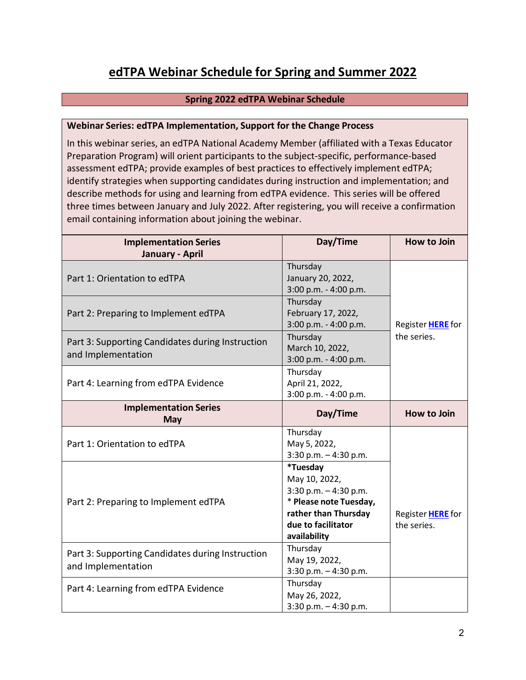# **edTPA Webinar Schedule for Spring and Summer 2022**

### **Spring 2022 edTPA Webinar Schedule**

#### **Webinar Series: edTPA Implementation, Support for the Change Process**

In this webinar series, an edTPA National Academy Member (affiliated with a Texas Educator Preparation Program) will orient participants to the subject-specific, performance-based assessment edTPA; provide examples of best practices to effectively implement edTPA; identify strategies when supporting candidates during instruction and implementation; and describe methods for using and learning from edTPA evidence. This series will be offered three times between January and July 2022. After registering, you will receive a confirmation email containing information about joining the webinar.

| <b>Implementation Series</b><br>January - April                        | Day/Time                                                                                                                                   | <b>How to Join</b>               |
|------------------------------------------------------------------------|--------------------------------------------------------------------------------------------------------------------------------------------|----------------------------------|
| Part 1: Orientation to edTPA                                           | Thursday<br>January 20, 2022,<br>3:00 p.m. - 4:00 p.m.                                                                                     |                                  |
| Part 2: Preparing to Implement edTPA                                   | Thursday<br>February 17, 2022,<br>3:00 p.m. - 4:00 p.m.                                                                                    | Register <b>HERE</b> for         |
| Part 3: Supporting Candidates during Instruction<br>and Implementation | Thursday<br>March 10, 2022,<br>3:00 p.m. - 4:00 p.m.                                                                                       | the series.                      |
| Part 4: Learning from edTPA Evidence                                   | Thursday<br>April 21, 2022,<br>3:00 p.m. - 4:00 p.m.                                                                                       |                                  |
| <b>Implementation Series</b><br><b>May</b>                             | Day/Time                                                                                                                                   | <b>How to Join</b>               |
| Part 1: Orientation to edTPA                                           | Thursday<br>May 5, 2022,<br>3:30 p.m. $-4:30$ p.m.                                                                                         |                                  |
| Part 2: Preparing to Implement edTPA                                   | *Tuesday<br>May 10, 2022,<br>3:30 p.m. - 4:30 p.m.<br>* Please note Tuesday,<br>rather than Thursday<br>due to facilitator<br>availability | Register HERE for<br>the series. |
| Part 3: Supporting Candidates during Instruction<br>and Implementation | Thursday<br>May 19, 2022,<br>3:30 p.m. - 4:30 p.m.                                                                                         |                                  |
| Part 4: Learning from edTPA Evidence                                   | Thursday<br>May 26, 2022,<br>$3:30$ p.m. $-4:30$ p.m.                                                                                      |                                  |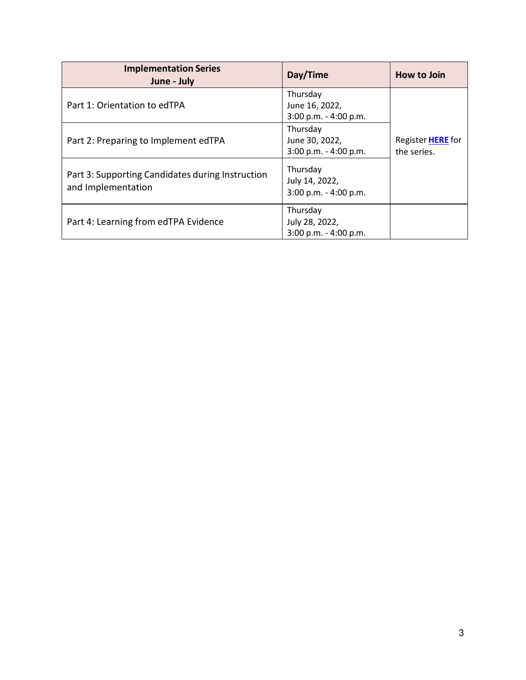| <b>Implementation Series</b><br>June - July                            | Day/Time                                              | How to Join                      |
|------------------------------------------------------------------------|-------------------------------------------------------|----------------------------------|
| Part 1: Orientation to edTPA                                           | Thursday<br>June 16, 2022,<br>3:00 p.m. - 4:00 p.m.   |                                  |
| Part 2: Preparing to Implement edTPA                                   | Thursday<br>June 30, 2022,<br>3:00 p.m. - 4:00 p.m.   | Register HERE for<br>the series. |
| Part 3: Supporting Candidates during Instruction<br>and Implementation | Thursday<br>July 14, 2022,<br>3:00 p.m. - 4:00 p.m.   |                                  |
| Part 4: Learning from edTPA Evidence                                   | Thursday<br>July 28, 2022,<br>$3:00$ p.m. - 4:00 p.m. |                                  |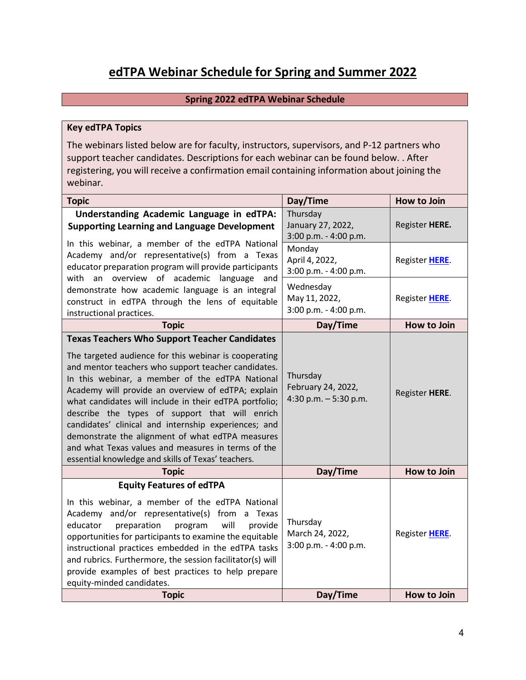# **edTPA Webinar Schedule for Spring and Summer 2022**

### **Spring 2022 edTPA Webinar Schedule**

#### **Key edTPA Topics**

The webinars listed below are for faculty, instructors, supervisors, and P-12 partners who support teacher candidates. Descriptions for each webinar can be found below. . After registering, you will receive a confirmation email containing information about joining the webinar.

| <b>Topic</b>                                                                                                                                                                                                                                                                                                                                                                                                                                                                                                                                                                                                      | Day/Time                                                 | How to Join        |
|-------------------------------------------------------------------------------------------------------------------------------------------------------------------------------------------------------------------------------------------------------------------------------------------------------------------------------------------------------------------------------------------------------------------------------------------------------------------------------------------------------------------------------------------------------------------------------------------------------------------|----------------------------------------------------------|--------------------|
| Understanding Academic Language in edTPA:<br><b>Supporting Learning and Language Development</b>                                                                                                                                                                                                                                                                                                                                                                                                                                                                                                                  | Thursday<br>January 27, 2022,<br>3:00 p.m. - 4:00 p.m.   | Register HERE.     |
| In this webinar, a member of the edTPA National<br>Academy and/or representative(s) from a Texas<br>educator preparation program will provide participants                                                                                                                                                                                                                                                                                                                                                                                                                                                        | Monday<br>April 4, 2022,<br>3:00 p.m. - 4:00 p.m.        | Register HERE.     |
| with an overview of academic language and<br>demonstrate how academic language is an integral<br>construct in edTPA through the lens of equitable<br>instructional practices.                                                                                                                                                                                                                                                                                                                                                                                                                                     | Wednesday<br>May 11, 2022,<br>3:00 p.m. - 4:00 p.m.      | Register HERE.     |
| <b>Topic</b>                                                                                                                                                                                                                                                                                                                                                                                                                                                                                                                                                                                                      | Day/Time                                                 | <b>How to Join</b> |
| <b>Texas Teachers Who Support Teacher Candidates</b><br>The targeted audience for this webinar is cooperating<br>and mentor teachers who support teacher candidates.<br>In this webinar, a member of the edTPA National<br>Academy will provide an overview of edTPA; explain<br>what candidates will include in their edTPA portfolio;<br>describe the types of support that will enrich<br>candidates' clinical and internship experiences; and<br>demonstrate the alignment of what edTPA measures<br>and what Texas values and measures in terms of the<br>essential knowledge and skills of Texas' teachers. | Thursday<br>February 24, 2022,<br>4:30 p.m. $-5:30$ p.m. | Register HERE.     |
| <b>Topic</b>                                                                                                                                                                                                                                                                                                                                                                                                                                                                                                                                                                                                      | Day/Time                                                 | <b>How to Join</b> |
| <b>Equity Features of edTPA</b><br>In this webinar, a member of the edTPA National<br>Academy and/or representative(s) from a Texas<br>preparation<br>educator<br>will<br>provide<br>program<br>opportunities for participants to examine the equitable<br>instructional practices embedded in the edTPA tasks<br>and rubrics. Furthermore, the session facilitator(s) will<br>provide examples of best practices to help prepare<br>equity-minded candidates.                                                                                                                                                    | Thursday<br>March 24, 2022,<br>3:00 p.m. - 4:00 p.m.     | Register HERE.     |
| <b>Topic</b>                                                                                                                                                                                                                                                                                                                                                                                                                                                                                                                                                                                                      | Day/Time                                                 | <b>How to Join</b> |